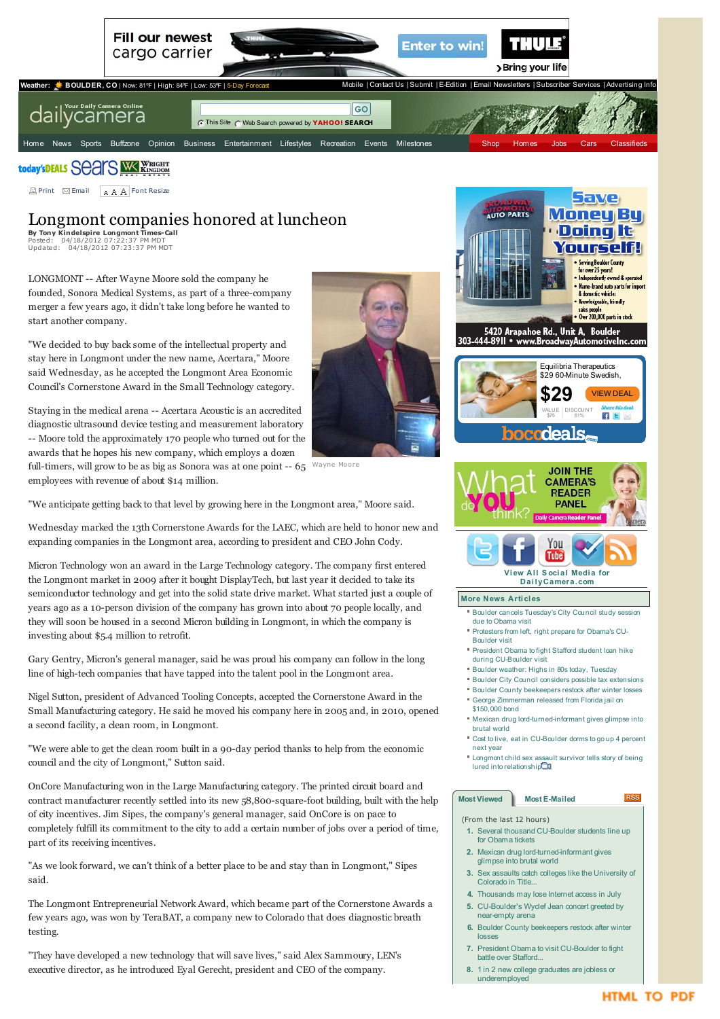

today's DEALS SCATS WE KINGHIT

<span id="page-0-0"></span>**E** Print **Examp[l](http://www.dailycamera.com/lafayette-news)e Font [Resize](http://www.dailycamera.com/broncos-nfl)** 

## Lo[ngmont](http://www.dailycamera.com/louisville-news) [compani](http://www.dailycamera.com/avalanche-nhl)es [honore](http://photos.dailycamera.com/Editorial-Cartoons)d at [lunc](http://www.uclick.com/client/bdc/gpa/)[heon](http://www.dailycamera.com/lifestyles/pets)

**By Tony [Kindelspire](http://www.dailycamera.com/superior-news) [Longmont](http://www.dailycamera.com/nuggets-nba) Times-Call** Posted: [04/18/2012](http://www.dailycamera.com/boulder-weather) [07:22:37](http://www.dailycamera.com/golf) PM MDT Updated: [04/18/2012](http://www.dailycamera.com/state-west-news) [07:23:37](http://www.dailycamera.com/running) PM MDT

LON[GMONT](http://www.dailycamera.com/science-environment) -- After [Wayne](http://www.dailycamera.com/soccer) Moore sold the company he founded, Sonora [Medical](http://www.dailycamera.com/science-columnists) [Systems](http://www.dailycamera.com/other-sports), as part of a three-company merger a few [years](http://www.dailycamera.com/election) ago, it [didn](http://www.dailycamera.com/olympics)'[t](http://www.dailycamera.com/olympics) take long before he wanted to start another company.

"We decided to buy back some of the intellectual property and stay here in Longmont under the new name, Acertara," Moore said Wednesday, as he accepted the Longmont Area Economic Council's Cornerstone Award in the Small Technology category.

Staying in the medical arena -- Acertara Acoustic is an accredited diagnostic ultrasound device testing and measurement laboratory -- Moore told the approximately 170 people who turned out for the awards that he hopes his new company, which employs a dozen full-timers, will grow to be as big as Sonora was at one point -- 65



Wayne Moore employees with revenue of about \$14 million.

"We anticipate getting back to that level by growing here in the Longmont area," Moore said.

Wednesday marked the 13th Cornerstone Awards for the LAEC, which are held to honor new and expanding companies in the Longmont area, according to president and CEO John Cody.

Micron Technology won an award in the Large Technology category. The company first entered the Longmont market in 2009 after it bought DisplayTech, but last year it decided to take its semiconductor technology and get into the solid state drive market. What started just a couple of years ago as a 10-person division of the company has grown into about 70 people locally, and they will soon be housed in a second Micron building in Longmont, in which the company is investing about \$5.4 million to retrofit.

Gary Gentry, Micron's general manager, said he was proud his company can follow in the long line of high-tech companies that have tapped into the talent pool in the Longmont area.

Nigel Sutton, president of Advanced Tooling Concepts, accepted the Cornerstone Award in the Small Manufacturing category. He said he moved his company here in 2005 and, in 2010, opened a second facility, a clean room, in Longmont.

"We were able to get the clean room built in a 90-day period thanks to help from the economic council and the city of Longmont," Sutton said.

OnCore Manufacturing won in the Large Manufacturing category. The printed circuit board and contract manufacturer recently settled into its new 58,800-square-foot building, built with the help of city incentives. Jim Sipes, the company's general manager, said OnCore is on pace to completely fulfill its commitment to the city to add a certain number of jobs over a period of time, part of its receiving incentives.

"As we look forward, we can't think of a better place to be and stay than in Longmont," Sipes said.

The Longmont Entrepreneurial Network Award, which became part of the Cornerstone Awards a few years ago, was won by TeraBAT, a company new to Colorado that does diagnostic breath testing.

"They have developed a new technology that will save lives," said Alex Sammoury, LEN's executive director, as he introduced Eyal Gerecht, president and CEO of the company.



- glimpse into brutal world **3.** Sex assaults catch colleges like the [University](http://www.dailycamera.com/cu-news/ci_20452830/sex-assaults-catch-colleges-like-university-colorad-title?source=most_viewed) of Colorado in Title.
- **4.** [Thousands](http://www.dailycamera.com/nation-world-news/ci_20447381/thousands-may-lose-internet-access-july?source=most_viewed) may lose Internet access in July
- **5.** [CU-Boulder's](http://www.dailycamera.com/cu-news/ci_20447311/cu-boulders-wyclef-jean-concert-greeted-by-near?source=most_viewed) Wyclef Jean concert greeted by near-empty arena
- **6.** Boulder County [beekeepers](http://www.dailycamera.com/boulder-county-news/ci_20451003/boulder-county-beekeepers-restock-after-winter-losses?source=most_viewed) restock after winter losses
- **7.** President Obama to visit [CU-Boulder](http://www.dailycamera.com/ci_20457323/president-obama-visit-cu-boulder-fight-battle-over?source=most_viewed) to fight battle over Stafford.
- **8.** 1 in 2 new college graduates are jobless or [underemployed](http://www.dailycamera.com/business/ci_20446909/1-2-new-college-graduates-are-jobless-or?source=most_viewed)